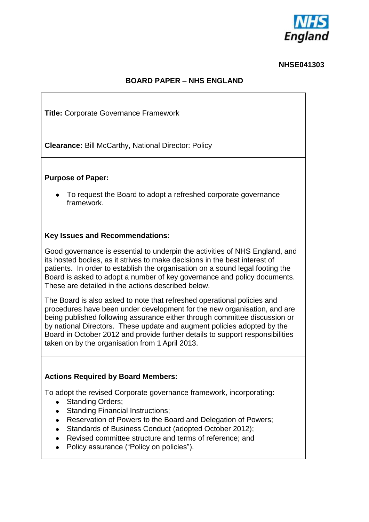

#### **NHSE041303**

# **BOARD PAPER – NHS ENGLAND**

**Title:** Corporate Governance Framework

**Clearance:** Bill McCarthy, National Director: Policy

#### **Purpose of Paper:**

To request the Board to adopt a refreshed corporate governance framework.

#### **Key Issues and Recommendations:**

Good governance is essential to underpin the activities of NHS England, and its hosted bodies, as it strives to make decisions in the best interest of patients. In order to establish the organisation on a sound legal footing the Board is asked to adopt a number of key governance and policy documents. These are detailed in the actions described below.

The Board is also asked to note that refreshed operational policies and procedures have been under development for the new organisation, and are being published following assurance either through committee discussion or by national Directors. These update and augment policies adopted by the Board in October 2012 and provide further details to support responsibilities taken on by the organisation from 1 April 2013.

#### **Actions Required by Board Members:**

To adopt the revised Corporate governance framework, incorporating:

- Standing Orders;
- Standing Financial Instructions:
- Reservation of Powers to the Board and Delegation of Powers;
- Standards of Business Conduct (adopted October 2012);
- Revised committee structure and terms of reference: and
- Policy assurance ("Policy on policies").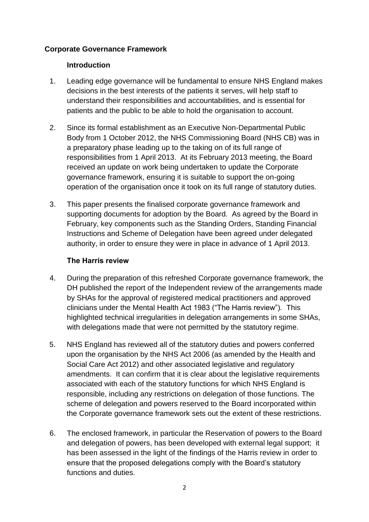# **Corporate Governance Framework**

# **Introduction**

- 1. Leading edge governance will be fundamental to ensure NHS England makes decisions in the best interests of the patients it serves, will help staff to understand their responsibilities and accountabilities, and is essential for patients and the public to be able to hold the organisation to account.
- 2. Since its formal establishment as an Executive Non-Departmental Public Body from 1 October 2012, the NHS Commissioning Board (NHS CB) was in a preparatory phase leading up to the taking on of its full range of responsibilities from 1 April 2013. At its February 2013 meeting, the Board received an update on work being undertaken to update the Corporate governance framework, ensuring it is suitable to support the on-going operation of the organisation once it took on its full range of statutory duties.
- 3. This paper presents the finalised corporate governance framework and supporting documents for adoption by the Board. As agreed by the Board in February, key components such as the Standing Orders, Standing Financial Instructions and Scheme of Delegation have been agreed under delegated authority, in order to ensure they were in place in advance of 1 April 2013.

#### **The Harris review**

- 4. During the preparation of this refreshed Corporate governance framework, the DH published the report of the Independent review of the arrangements made by SHAs for the approval of registered medical practitioners and approved clinicians under the Mental Health Act 1983 ("The Harris review"). This highlighted technical irregularities in delegation arrangements in some SHAs, with delegations made that were not permitted by the statutory regime.
- 5. NHS England has reviewed all of the statutory duties and powers conferred upon the organisation by the NHS Act 2006 (as amended by the Health and Social Care Act 2012) and other associated legislative and regulatory amendments. It can confirm that it is clear about the legislative requirements associated with each of the statutory functions for which NHS England is responsible, including any restrictions on delegation of those functions. The scheme of delegation and powers reserved to the Board incorporated within the Corporate governance framework sets out the extent of these restrictions.
- 6. The enclosed framework, in particular the Reservation of powers to the Board and delegation of powers, has been developed with external legal support; it has been assessed in the light of the findings of the Harris review in order to ensure that the proposed delegations comply with the Board's statutory functions and duties.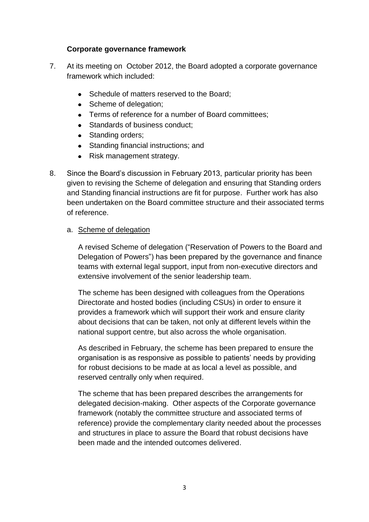### **Corporate governance framework**

- 7. At its meeting on October 2012, the Board adopted a corporate governance framework which included:
	- Schedule of matters reserved to the Board;
	- Scheme of delegation;
	- Terms of reference for a number of Board committees;
	- Standards of business conduct:
	- Standing orders:
	- Standing financial instructions; and
	- Risk management strategy.
- 8. Since the Board's discussion in February 2013, particular priority has been given to revising the Scheme of delegation and ensuring that Standing orders and Standing financial instructions are fit for purpose. Further work has also been undertaken on the Board committee structure and their associated terms of reference.

#### a. Scheme of delegation

A revised Scheme of delegation ("Reservation of Powers to the Board and Delegation of Powers") has been prepared by the governance and finance teams with external legal support, input from non-executive directors and extensive involvement of the senior leadership team.

The scheme has been designed with colleagues from the Operations Directorate and hosted bodies (including CSUs) in order to ensure it provides a framework which will support their work and ensure clarity about decisions that can be taken, not only at different levels within the national support centre, but also across the whole organisation.

As described in February, the scheme has been prepared to ensure the organisation is as responsive as possible to patients' needs by providing for robust decisions to be made at as local a level as possible, and reserved centrally only when required.

The scheme that has been prepared describes the arrangements for delegated decision-making. Other aspects of the Corporate governance framework (notably the committee structure and associated terms of reference) provide the complementary clarity needed about the processes and structures in place to assure the Board that robust decisions have been made and the intended outcomes delivered.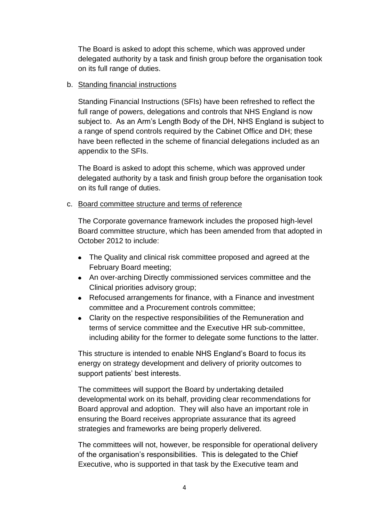The Board is asked to adopt this scheme, which was approved under delegated authority by a task and finish group before the organisation took on its full range of duties.

### b. Standing financial instructions

Standing Financial Instructions (SFIs) have been refreshed to reflect the full range of powers, delegations and controls that NHS England is now subject to. As an Arm's Length Body of the DH, NHS England is subject to a range of spend controls required by the Cabinet Office and DH; these have been reflected in the scheme of financial delegations included as an appendix to the SFIs.

The Board is asked to adopt this scheme, which was approved under delegated authority by a task and finish group before the organisation took on its full range of duties.

### c. Board committee structure and terms of reference

The Corporate governance framework includes the proposed high-level Board committee structure, which has been amended from that adopted in October 2012 to include:

- The Quality and clinical risk committee proposed and agreed at the February Board meeting;
- An over-arching Directly commissioned services committee and the Clinical priorities advisory group;
- Refocused arrangements for finance, with a Finance and investment committee and a Procurement controls committee;
- Clarity on the respective responsibilities of the Remuneration and terms of service committee and the Executive HR sub-committee, including ability for the former to delegate some functions to the latter.

This structure is intended to enable NHS England's Board to focus its energy on strategy development and delivery of priority outcomes to support patients' best interests.

The committees will support the Board by undertaking detailed developmental work on its behalf, providing clear recommendations for Board approval and adoption. They will also have an important role in ensuring the Board receives appropriate assurance that its agreed strategies and frameworks are being properly delivered.

The committees will not, however, be responsible for operational delivery of the organisation's responsibilities. This is delegated to the Chief Executive, who is supported in that task by the Executive team and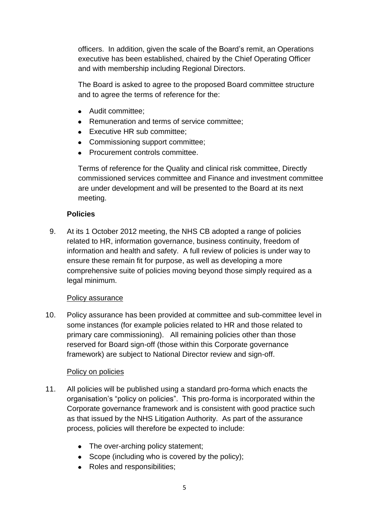officers. In addition, given the scale of the Board's remit, an Operations executive has been established, chaired by the Chief Operating Officer and with membership including Regional Directors.

The Board is asked to agree to the proposed Board committee structure and to agree the terms of reference for the:

- Audit committee:
- Remuneration and terms of service committee;
- Executive HR sub committee;
- Commissioning support committee;
- Procurement controls committee.

Terms of reference for the Quality and clinical risk committee, Directly commissioned services committee and Finance and investment committee are under development and will be presented to the Board at its next meeting.

# **Policies**

9. At its 1 October 2012 meeting, the NHS CB adopted a range of policies related to HR, information governance, business continuity, freedom of information and health and safety. A full review of policies is under way to ensure these remain fit for purpose, as well as developing a more comprehensive suite of policies moving beyond those simply required as a legal minimum.

# Policy assurance

10. Policy assurance has been provided at committee and sub-committee level in some instances (for example policies related to HR and those related to primary care commissioning). All remaining policies other than those reserved for Board sign-off (those within this Corporate governance framework) are subject to National Director review and sign-off.

# Policy on policies

- 11. All policies will be published using a standard pro-forma which enacts the organisation's "policy on policies". This pro-forma is incorporated within the Corporate governance framework and is consistent with good practice such as that issued by the NHS Litigation Authority. As part of the assurance process, policies will therefore be expected to include:
	- The over-arching policy statement;
	- Scope (including who is covered by the policy);
	- Roles and responsibilities;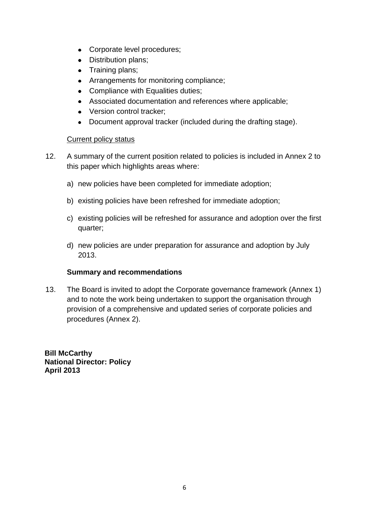- Corporate level procedures;
- Distribution plans;
- Training plans;
- Arrangements for monitoring compliance;
- Compliance with Equalities duties;
- Associated documentation and references where applicable;
- Version control tracker:
- Document approval tracker (included during the drafting stage).

# Current policy status

- 12. A summary of the current position related to policies is included in Annex 2 to this paper which highlights areas where:
	- a) new policies have been completed for immediate adoption;
	- b) existing policies have been refreshed for immediate adoption;
	- c) existing policies will be refreshed for assurance and adoption over the first quarter;
	- d) new policies are under preparation for assurance and adoption by July 2013.

#### **Summary and recommendations**

13. The Board is invited to adopt the Corporate governance framework (Annex 1) and to note the work being undertaken to support the organisation through provision of a comprehensive and updated series of corporate policies and procedures (Annex 2).

**Bill McCarthy National Director: Policy April 2013**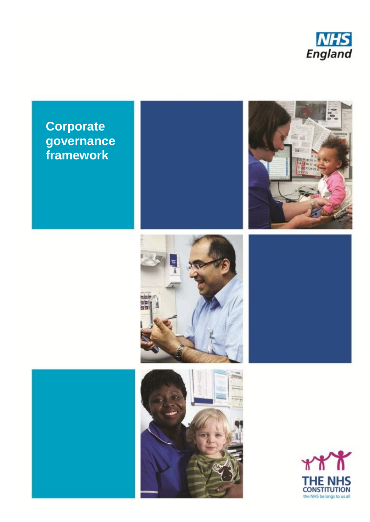

 $\mathfrak{o}^{\mathfrak{v}}_{\bullet}$ 

чă

# **Corporate governance framework**





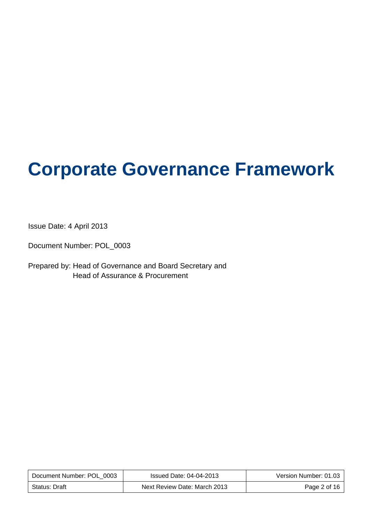# **Corporate Governance Framework**

Issue Date: 4 April 2013

Document Number: POL\_0003

Prepared by: Head of Governance and Board Secretary and Head of Assurance & Procurement

| Document Number: POL 0003 | Issued Date: 04-04-2013      | Version Number: 01.03 |
|---------------------------|------------------------------|-----------------------|
| Status: Draft             | Next Review Date: March 2013 | Page 2 of 16          |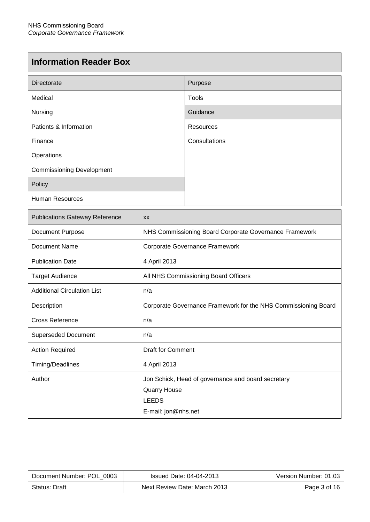# <span id="page-8-0"></span>**Information Reader Box**

| Directorate                           |                                                                | Purpose       |
|---------------------------------------|----------------------------------------------------------------|---------------|
| Medical                               |                                                                | Tools         |
| Nursing                               |                                                                | Guidance      |
| Patients & Information                |                                                                | Resources     |
| Finance                               |                                                                | Consultations |
| Operations                            |                                                                |               |
| <b>Commissioning Development</b>      |                                                                |               |
| Policy                                |                                                                |               |
| Human Resources                       |                                                                |               |
| <b>Publications Gateway Reference</b> | <b>XX</b>                                                      |               |
| Document Purpose                      | NHS Commissioning Board Corporate Governance Framework         |               |
| <b>Document Name</b>                  | Corporate Governance Framework                                 |               |
| <b>Publication Date</b>               | 4 April 2013                                                   |               |
| <b>Target Audience</b>                | All NHS Commissioning Board Officers                           |               |
| <b>Additional Circulation List</b>    | n/a                                                            |               |
| Description                           | Corporate Governance Framework for the NHS Commissioning Board |               |
| <b>Cross Reference</b>                | n/a                                                            |               |
| <b>Superseded Document</b>            | n/a                                                            |               |
| <b>Action Required</b>                | Draft for Comment                                              |               |
| Timing/Deadlines                      | 4 April 2013                                                   |               |
| Author                                | Jon Schick, Head of governance and board secretary             |               |
|                                       | <b>Quarry House</b>                                            |               |
|                                       | <b>LEEDS</b>                                                   |               |

| Document Number: POL 0003 | Issued Date: 04-04-2013      | Version Number: 01.03 |
|---------------------------|------------------------------|-----------------------|
| Status: Draft             | Next Review Date: March 2013 | Page 3 of 16          |

E-mail: jon@nhs.net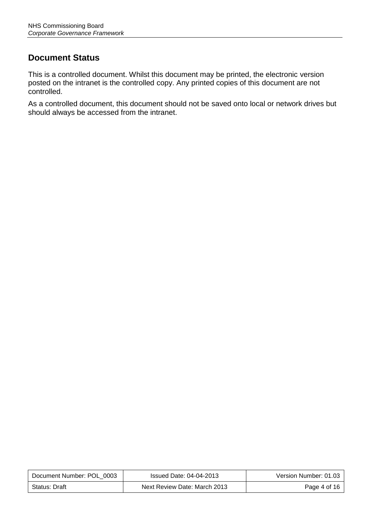# <span id="page-9-0"></span>**Document Status**

This is a controlled document. Whilst this document may be printed, the electronic version posted on the intranet is the controlled copy. Any printed copies of this document are not controlled.

As a controlled document, this document should not be saved onto local or network drives but should always be accessed from the intranet.

| Document Number: POL 0003 | Issued Date: 04-04-2013      | Version Number: 01.03 |
|---------------------------|------------------------------|-----------------------|
| Status: Draft             | Next Review Date: March 2013 | Page 4 of 16          |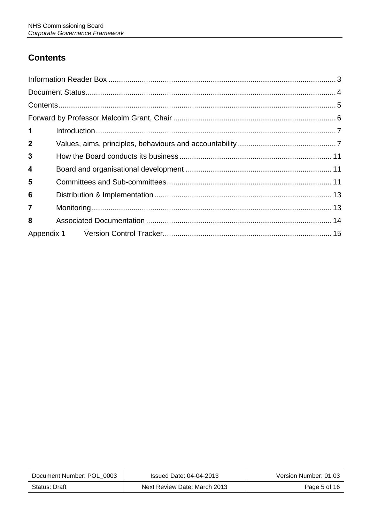# <span id="page-10-0"></span>**Contents**

| $\mathbf 1$    |  |
|----------------|--|
| $\overline{2}$ |  |
| 3              |  |
| 4              |  |
| 5              |  |
| 6              |  |
| $\overline{7}$ |  |
| 8              |  |
|                |  |

| Document Number: POL 0003 | Issued Date: 04-04-2013      | Version Number: 01.03 |
|---------------------------|------------------------------|-----------------------|
| Status: Draft             | Next Review Date: March 2013 | Page 5 of 16          |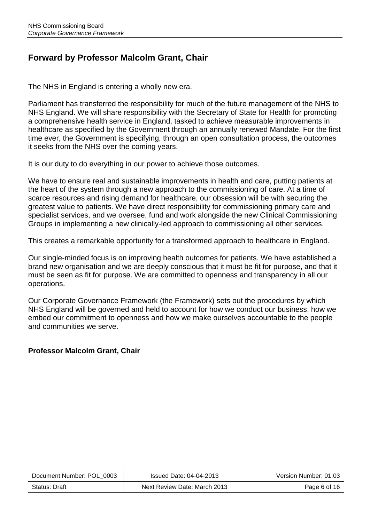# <span id="page-11-0"></span>**Forward by Professor Malcolm Grant, Chair**

The NHS in England is entering a wholly new era.

Parliament has transferred the responsibility for much of the future management of the NHS to NHS England. We will share responsibility with the Secretary of State for Health for promoting a comprehensive health service in England, tasked to achieve measurable improvements in healthcare as specified by the Government through an annually renewed Mandate. For the first time ever, the Government is specifying, through an open consultation process, the outcomes it seeks from the NHS over the coming years.

It is our duty to do everything in our power to achieve those outcomes.

We have to ensure real and sustainable improvements in health and care, putting patients at the heart of the system through a new approach to the commissioning of care. At a time of scarce resources and rising demand for healthcare, our obsession will be with securing the greatest value to patients. We have direct responsibility for commissioning primary care and specialist services, and we oversee, fund and work alongside the new Clinical Commissioning Groups in implementing a new clinically-led approach to commissioning all other services.

This creates a remarkable opportunity for a transformed approach to healthcare in England.

Our single-minded focus is on improving health outcomes for patients. We have established a brand new organisation and we are deeply conscious that it must be fit for purpose, and that it must be seen as fit for purpose. We are committed to openness and transparency in all our operations.

Our Corporate Governance Framework (the Framework) sets out the procedures by which NHS England will be governed and held to account for how we conduct our business, how we embed our commitment to openness and how we make ourselves accountable to the people and communities we serve.

# **Professor Malcolm Grant, Chair**

| Document Number: POL 0003 | Issued Date: 04-04-2013      | Version Number: 01.03 |
|---------------------------|------------------------------|-----------------------|
| Status: Draft             | Next Review Date: March 2013 | Page 6 of 16          |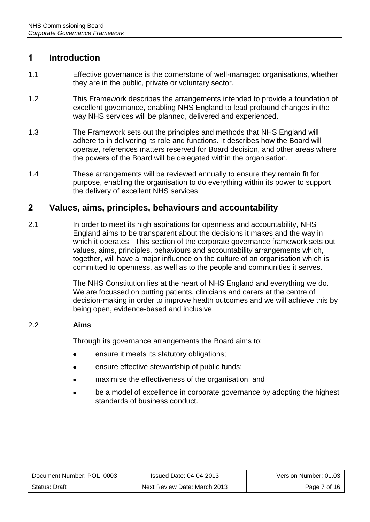# <span id="page-12-0"></span>**1 Introduction**

- 1.1 Effective governance is the cornerstone of well-managed organisations, whether they are in the public, private or voluntary sector.
- 1.2 This Framework describes the arrangements intended to provide a foundation of excellent governance, enabling NHS England to lead profound changes in the way NHS services will be planned, delivered and experienced.
- 1.3 The Framework sets out the principles and methods that NHS England will adhere to in delivering its role and functions. It describes how the Board will operate, references matters reserved for Board decision, and other areas where the powers of the Board will be delegated within the organisation.
- 1.4 These arrangements will be reviewed annually to ensure they remain fit for purpose, enabling the organisation to do everything within its power to support the delivery of excellent NHS services.

# <span id="page-12-1"></span>**2 Values, aims, principles, behaviours and accountability**

2.1 In order to meet its high aspirations for openness and accountability, NHS England aims to be transparent about the decisions it makes and the way in which it operates. This section of the corporate governance framework sets out values, aims, principles, behaviours and accountability arrangements which, together, will have a major influence on the culture of an organisation which is committed to openness, as well as to the people and communities it serves.

> The NHS Constitution lies at the heart of NHS England and everything we do. We are focussed on putting patients, clinicians and carers at the centre of decision-making in order to improve health outcomes and we will achieve this by being open, evidence-based and inclusive.

#### 2.2 **Aims**

Through its governance arrangements the Board aims to:

- ensure it meets its statutory obligations;
- ensure effective stewardship of public funds;
- maximise the effectiveness of the organisation; and
- be a model of excellence in corporate governance by adopting the highest standards of business conduct.

| Document Number: POL 0003 | Issued Date: 04-04-2013      | Version Number: 01.03 |
|---------------------------|------------------------------|-----------------------|
| Status: Draft             | Next Review Date: March 2013 | Page 7 of 16          |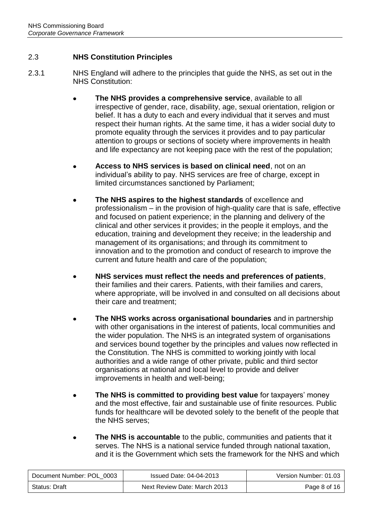# 2.3 **NHS Constitution Principles**

- 2.3.1 NHS England will adhere to the principles that guide the NHS, as set out in the NHS Constitution:
	- **The NHS provides a comprehensive service**, available to all irrespective of gender, race, disability, age, sexual orientation, religion or belief. It has a duty to each and every individual that it serves and must respect their human rights. At the same time, it has a wider social duty to promote equality through the services it provides and to pay particular attention to groups or sections of society where improvements in health and life expectancy are not keeping pace with the rest of the population;
	- **Access to NHS services is based on clinical need**, not on an  $\bullet$ individual's ability to pay. NHS services are free of charge, except in limited circumstances sanctioned by Parliament;
	- **The NHS aspires to the highest standards** of excellence and professionalism – in the provision of high-quality care that is safe, effective and focused on patient experience; in the planning and delivery of the clinical and other services it provides; in the people it employs, and the education, training and development they receive; in the leadership and management of its organisations; and through its commitment to innovation and to the promotion and conduct of research to improve the current and future health and care of the population;
	- **NHS services must reflect the needs and preferences of patients**, their families and their carers. Patients, with their families and carers, where appropriate, will be involved in and consulted on all decisions about their care and treatment;
	- **The NHS works across organisational boundaries** and in partnership with other organisations in the interest of patients, local communities and the wider population. The NHS is an integrated system of organisations and services bound together by the principles and values now reflected in the Constitution. The NHS is committed to working jointly with local authorities and a wide range of other private, public and third sector organisations at national and local level to provide and deliver improvements in health and well-being;
	- **The NHS is committed to providing best value** for taxpayers' money and the most effective, fair and sustainable use of finite resources. Public funds for healthcare will be devoted solely to the benefit of the people that the NHS serves;
	- **The NHS is accountable** to the public, communities and patients that it serves. The NHS is a national service funded through national taxation, and it is the Government which sets the framework for the NHS and which

| Document Number: POL 0003 | Issued Date: 04-04-2013      | Version Number: 01.03 |
|---------------------------|------------------------------|-----------------------|
| Status: Draft             | Next Review Date: March 2013 | Page 8 of 16          |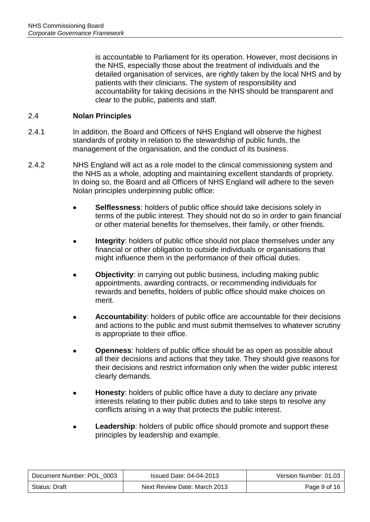is accountable to Parliament for its operation. However, most decisions in the NHS, especially those about the treatment of individuals and the detailed organisation of services, are rightly taken by the local NHS and by patients with their clinicians. The system of responsibility and accountability for taking decisions in the NHS should be transparent and clear to the public, patients and staff.

### 2.4 **Nolan Principles**

- 2.4.1 In addition, the Board and Officers of NHS England will observe the highest standards of probity in relation to the stewardship of public funds, the management of the organisation, and the conduct of its business.
- 2.4.2 NHS England will act as a role model to the clinical commissioning system and the NHS as a whole, adopting and maintaining excellent standards of propriety. In doing so, the Board and all Officers of NHS England will adhere to the seven Nolan principles underpinning public office:
	- **Selflessness**: holders of public office should take decisions solely in terms of the public interest. They should not do so in order to gain financial or other material benefits for themselves, their family, or other friends.
	- **Integrity**: holders of public office should not place themselves under any financial or other obligation to outside individuals or organisations that might influence them in the performance of their official duties.
	- **Objectivity**: in carrying out public business, including making public appointments, awarding contracts, or recommending individuals for rewards and benefits, holders of public office should make choices on merit.
	- **Accountability**: holders of public office are accountable for their decisions and actions to the public and must submit themselves to whatever scrutiny is appropriate to their office.
	- **Openness**: holders of public office should be as open as possible about all their decisions and actions that they take. They should give reasons for their decisions and restrict information only when the wider public interest clearly demands.
	- **Honesty**: holders of public office have a duty to declare any private interests relating to their public duties and to take steps to resolve any conflicts arising in a way that protects the public interest.
	- **Leadership**: holders of public office should promote and support these principles by leadership and example.

| Document Number: POL 0003 | Issued Date: 04-04-2013      | Version Number: 01.03 |
|---------------------------|------------------------------|-----------------------|
| Status: Draft             | Next Review Date: March 2013 | Page 9 of 16          |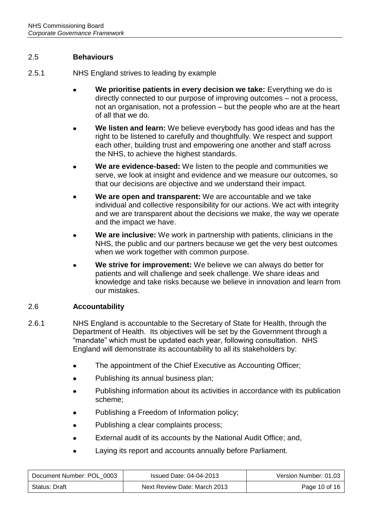# 2.5 **Behaviours**

- 2.5.1 NHS England strives to leading by example
	- **We prioritise patients in every decision we take:** Everything we do is directly connected to our purpose of improving outcomes – not a process, not an organisation, not a profession – but the people who are at the heart of all that we do.
	- **We listen and learn:** We believe everybody has good ideas and has the right to be listened to carefully and thoughtfully. We respect and support each other, building trust and empowering one another and staff across the NHS, to achieve the highest standards.
	- **We are evidence-based:** We listen to the people and communities we serve, we look at insight and evidence and we measure our outcomes, so that our decisions are objective and we understand their impact.
	- **We are open and transparent:** We are accountable and we take individual and collective responsibility for our actions. We act with integrity and we are transparent about the decisions we make, the way we operate and the impact we have.
	- **We are inclusive:** We work in partnership with patients, clinicians in the NHS, the public and our partners because we get the very best outcomes when we work together with common purpose.
	- **We strive for improvement:** We believe we can always do better for patients and will challenge and seek challenge. We share ideas and knowledge and take risks because we believe in innovation and learn from our mistakes.

# 2.6 **Accountability**

- 2.6.1 NHS England is accountable to the Secretary of State for Health, through the Department of Health. Its objectives will be set by the Government through a "mandate" which must be updated each year, following consultation. NHS England will demonstrate its accountability to all its stakeholders by:
	- The appointment of the Chief Executive as Accounting Officer;
	- Publishing its annual business plan;
	- Publishing information about its activities in accordance with its publication scheme;
	- Publishing a Freedom of Information policy;
	- Publishing a clear complaints process;
	- External audit of its accounts by the National Audit Office; and,
	- Laying its report and accounts annually before Parliament.

| Document Number: POL 0003 | Issued Date: 04-04-2013      | Version Number: 01.03 |
|---------------------------|------------------------------|-----------------------|
| Status: Draft             | Next Review Date: March 2013 | Page 10 of 16         |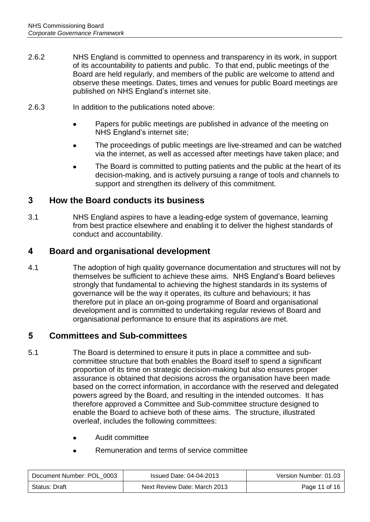- 2.6.2 NHS England is committed to openness and transparency in its work, in support of its accountability to patients and public. To that end, public meetings of the Board are held regularly, and members of the public are welcome to attend and observe these meetings. Dates, times and venues for public Board meetings are published on NHS England's internet site.
- 2.6.3 In addition to the publications noted above:
	- Papers for public meetings are published in advance of the meeting on NHS England's internet site;
	- The proceedings of public meetings are live-streamed and can be watched via the internet, as well as accessed after meetings have taken place; and
	- The Board is committed to putting patients and the public at the heart of its decision-making, and is actively pursuing a range of tools and channels to support and strengthen its delivery of this commitment.

# <span id="page-16-0"></span>**3 How the Board conducts its business**

3.1 NHS England aspires to have a leading-edge system of governance, learning from best practice elsewhere and enabling it to deliver the highest standards of conduct and accountability.

# <span id="page-16-1"></span>**4 Board and organisational development**

4.1 The adoption of high quality governance documentation and structures will not by themselves be sufficient to achieve these aims. NHS England's Board believes strongly that fundamental to achieving the highest standards in its systems of governance will be the way it operates, its culture and behaviours; it has therefore put in place an on-going programme of Board and organisational development and is committed to undertaking regular reviews of Board and organisational performance to ensure that its aspirations are met.

# <span id="page-16-2"></span>**5 Committees and Sub-committees**

- 5.1 The Board is determined to ensure it puts in place a committee and subcommittee structure that both enables the Board itself to spend a significant proportion of its time on strategic decision-making but also ensures proper assurance is obtained that decisions across the organisation have been made based on the correct information, in accordance with the reserved and delegated powers agreed by the Board, and resulting in the intended outcomes. It has therefore approved a Committee and Sub-committee structure designed to enable the Board to achieve both of these aims. The structure, illustrated overleaf, includes the following committees:
	- Audit committee
	- Remuneration and terms of service committee

| Document Number: POL 0003 | Issued Date: 04-04-2013      | Version Number: 01.03 |
|---------------------------|------------------------------|-----------------------|
| Status: Draft             | Next Review Date: March 2013 | Page 11 of 16         |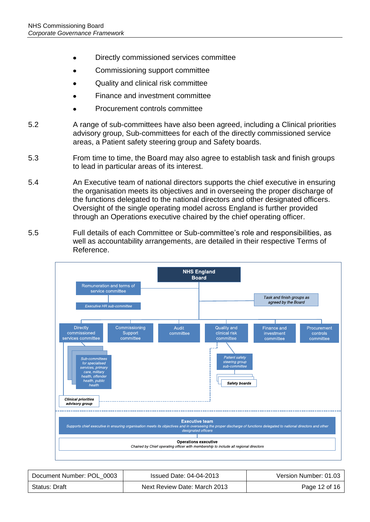- Directly commissioned services committee
- Commissioning support committee  $\bullet$
- Quality and clinical risk committee
- Finance and investment committee
- Procurement controls committee
- 5.2 A range of sub-committees have also been agreed, including a Clinical priorities advisory group, Sub-committees for each of the directly commissioned service areas, a Patient safety steering group and Safety boards.
- 5.3 From time to time, the Board may also agree to establish task and finish groups to lead in particular areas of its interest.
- 5.4 An Executive team of national directors supports the chief executive in ensuring the organisation meets its objectives and in overseeing the proper discharge of the functions delegated to the national directors and other designated officers. Oversight of the single operating model across England is further provided through an Operations executive chaired by the chief operating officer.
- 5.5 Full details of each Committee or Sub-committee's role and responsibilities, as well as accountability arrangements, are detailed in their respective Terms of Reference.



| Document Number: POL 0003 | Issued Date: 04-04-2013      | Version Number: 01.03 |
|---------------------------|------------------------------|-----------------------|
| Status: Draft             | Next Review Date: March 2013 | Page 12 of 16         |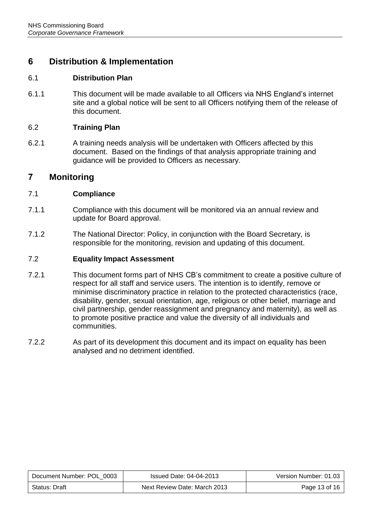# <span id="page-18-0"></span>**6 Distribution & Implementation**

#### 6.1 **Distribution Plan**

6.1.1 This document will be made available to all Officers via NHS England's internet site and a global notice will be sent to all Officers notifying them of the release of this document.

### 6.2 **Training Plan**

6.2.1 A training needs analysis will be undertaken with Officers affected by this document. Based on the findings of that analysis appropriate training and guidance will be provided to Officers as necessary.

# <span id="page-18-1"></span>**7 Monitoring**

#### 7.1 **Compliance**

- 7.1.1 Compliance with this document will be monitored via an annual review and update for Board approval.
- 7.1.2 The National Director: Policy, in conjunction with the Board Secretary, is responsible for the monitoring, revision and updating of this document.

#### 7.2 **Equality Impact Assessment**

- 7.2.1 This document forms part of NHS CB's commitment to create a positive culture of respect for all staff and service users. The intention is to identify, remove or minimise discriminatory practice in relation to the protected characteristics (race, disability, gender, sexual orientation, age, religious or other belief, marriage and civil partnership, gender reassignment and pregnancy and maternity), as well as to promote positive practice and value the diversity of all individuals and communities.
- 7.2.2 As part of its development this document and its impact on equality has been analysed and no detriment identified.

| Document Number: POL 0003 | Issued Date: 04-04-2013      | Version Number: 01.03 |
|---------------------------|------------------------------|-----------------------|
| Status: Draft             | Next Review Date: March 2013 | Page 13 of 16         |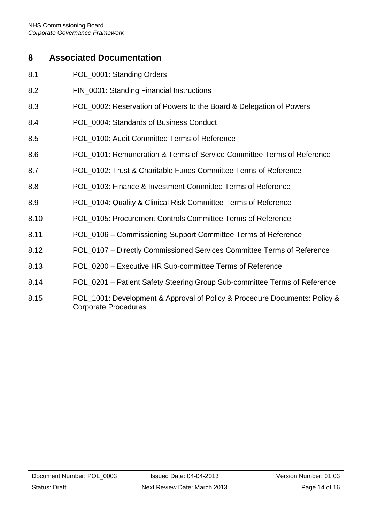# <span id="page-19-0"></span>**8 Associated Documentation**

- 8.1 POL 0001: Standing Orders
- 8.2 FIN\_0001: Standing Financial Instructions
- 8.3 POL\_0002: Reservation of Powers to the Board & Delegation of Powers
- 8.4 POL\_0004: Standards of Business Conduct
- 8.5 POL\_0100: Audit Committee Terms of Reference
- 8.6 POL\_0101: Remuneration & Terms of Service Committee Terms of Reference
- 8.7 POL 0102: Trust & Charitable Funds Committee Terms of Reference
- 8.8 POL 0103: Finance & Investment Committee Terms of Reference
- 8.9 POL\_0104: Quality & Clinical Risk Committee Terms of Reference
- 8.10 POL\_0105: Procurement Controls Committee Terms of Reference
- 8.11 POL\_0106 Commissioning Support Committee Terms of Reference
- 8.12 POL\_0107 Directly Commissioned Services Committee Terms of Reference
- 8.13 POL\_0200 Executive HR Sub-committee Terms of Reference
- 8.14 POL\_0201 Patient Safety Steering Group Sub-committee Terms of Reference
- 8.15 POL\_1001: Development & Approval of Policy & Procedure Documents: Policy & Corporate Procedures

| Document Number: POL 0003 | Issued Date: 04-04-2013      | Version Number: 01.03 |
|---------------------------|------------------------------|-----------------------|
| Status: Draft             | Next Review Date: March 2013 | Page 14 of 16         |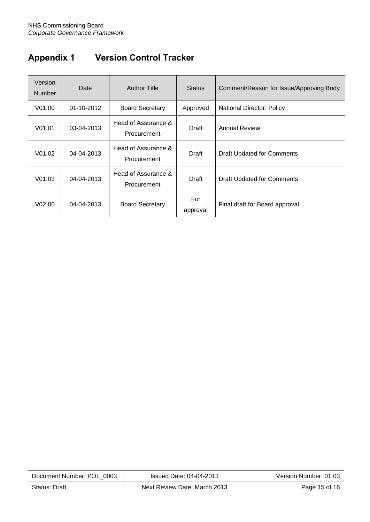# <span id="page-20-0"></span>**Appendix 1 Version Control Tracker**

| Version<br><b>Number</b> | Date       | <b>Author Title</b>                | <b>Status</b>   | Comment/Reason for Issue/Approving Body |
|--------------------------|------------|------------------------------------|-----------------|-----------------------------------------|
| V01.00                   | 01-10-2012 | <b>Board Secretary</b>             | Approved        | National Director: Policy               |
| V01.01                   | 03-04-2013 | Head of Assurance &<br>Procurement | Draft           | <b>Annual Review</b>                    |
| V <sub>01.02</sub>       | 04-04-2013 | Head of Assurance &<br>Procurement | Draft           | <b>Draft Updated for Comments</b>       |
| V <sub>01.03</sub>       | 04-04-2013 | Head of Assurance &<br>Procurement | Draft           | <b>Draft Updated for Comments</b>       |
| V <sub>02.00</sub>       | 04-04-2013 | <b>Board Secretary</b>             | For<br>approval | Final draft for Board approval          |

| Document Number: POL 0003 | <b>Issued Date: 04-04-2013</b> | Version Number: 01.03 |
|---------------------------|--------------------------------|-----------------------|
| Status: Draft             | Next Review Date: March 2013   | Page 15 of 16         |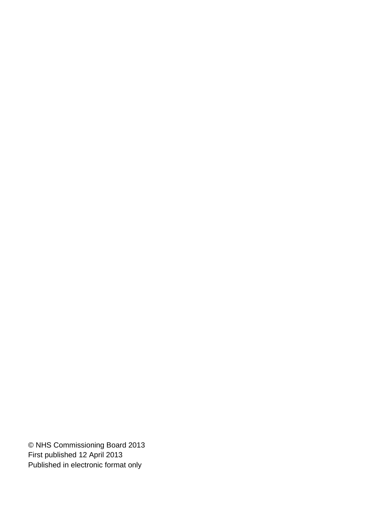© NHS Commissioning Board 2013 First published 12 April 2013 Published in electronic format only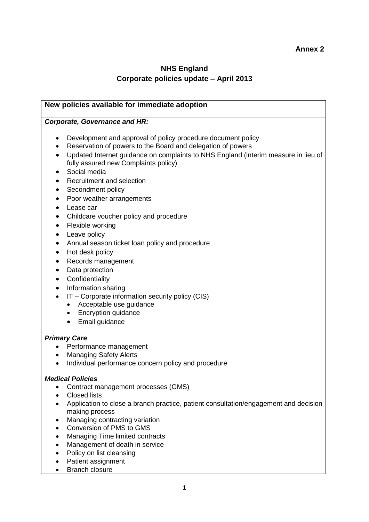# **Annex 2**

# **NHS England Corporate policies update – April 2013**

|                                                                                                                                                                                                                                        | New policies available for immediate adoption                                                                                                                                                                                                                                                                                                                                                                                                                                                                                                                                                                                                                                                                         |
|----------------------------------------------------------------------------------------------------------------------------------------------------------------------------------------------------------------------------------------|-----------------------------------------------------------------------------------------------------------------------------------------------------------------------------------------------------------------------------------------------------------------------------------------------------------------------------------------------------------------------------------------------------------------------------------------------------------------------------------------------------------------------------------------------------------------------------------------------------------------------------------------------------------------------------------------------------------------------|
|                                                                                                                                                                                                                                        | <b>Corporate, Governance and HR:</b>                                                                                                                                                                                                                                                                                                                                                                                                                                                                                                                                                                                                                                                                                  |
| $\bullet$<br>$\bullet$<br>$\bullet$<br>$\bullet$<br>$\bullet$<br>$\bullet$<br>$\bullet$<br>$\bullet$<br>$\bullet$<br>$\bullet$<br>$\bullet$<br>$\bullet$<br>$\bullet$<br>$\bullet$<br>$\bullet$<br>$\bullet$<br>$\bullet$<br>$\bullet$ | Development and approval of policy procedure document policy<br>Reservation of powers to the Board and delegation of powers<br>Updated Internet guidance on complaints to NHS England (interim measure in lieu of<br>fully assured new Complaints policy)<br>Social media<br>Recruitment and selection<br>Secondment policy<br>Poor weather arrangements<br>Lease car<br>Childcare voucher policy and procedure<br>Flexible working<br>Leave policy<br>Annual season ticket loan policy and procedure<br>Hot desk policy<br>Records management<br>Data protection<br>Confidentiality<br>Information sharing<br>IT - Corporate information security policy (CIS)<br>• Acceptable use guidance<br>• Encryption guidance |
| ٠                                                                                                                                                                                                                                      | Email guidance<br>$\bullet$<br><b>Primary Care</b><br>Performance management                                                                                                                                                                                                                                                                                                                                                                                                                                                                                                                                                                                                                                          |
| $\bullet$                                                                                                                                                                                                                              | <b>Managing Safety Alerts</b><br>Individual performance concern policy and procedure                                                                                                                                                                                                                                                                                                                                                                                                                                                                                                                                                                                                                                  |
|                                                                                                                                                                                                                                        | <b>Medical Policies</b><br>Contract management processes (GMS)<br><b>Closed lists</b><br>Application to close a branch practice, patient consultation/engagement and decision<br>making process<br>Managing contracting variation<br>Conversion of PMS to GMS<br>Managing Time limited contracts<br>Management of death in service<br>Policy on list cleansing<br>Patient assignment<br><b>Branch closure</b>                                                                                                                                                                                                                                                                                                         |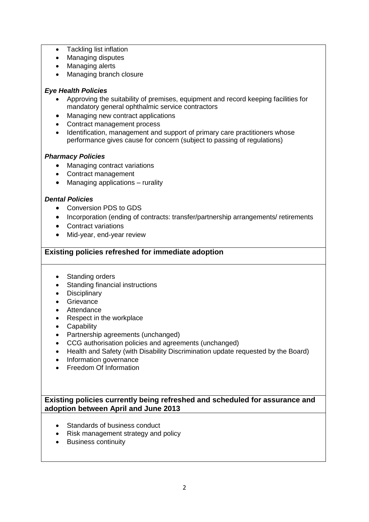- Tackling list inflation
- Managing disputes
- Managing alerts
- Managing branch closure

#### *Eye Health Policies*

- Approving the suitability of premises, equipment and record keeping facilities for mandatory general ophthalmic service contractors
- Managing new contract applications
- Contract management process
- Identification, management and support of primary care practitioners whose performance gives cause for concern (subject to passing of regulations)

#### *Pharmacy Policies*

- Managing contract variations
- Contract management
- Managing applications rurality

#### *Dental Policies*

- Conversion PDS to GDS
- Incorporation (ending of contracts: transfer/partnership arrangements/ retirements
- Contract variations
- Mid-year, end-year review

#### **Existing policies refreshed for immediate adoption**

- Standing orders
- Standing financial instructions
- Disciplinary
- **•** Grievance
- Attendance
- Respect in the workplace
- Capability
- Partnership agreements (unchanged)
- CCG authorisation policies and agreements (unchanged)
- Health and Safety (with Disability Discrimination update requested by the Board)
- Information governance
- Freedom Of Information

#### **Existing policies currently being refreshed and scheduled for assurance and adoption between April and June 2013**

- Standards of business conduct
- Risk management strategy and policy
- Business continuity